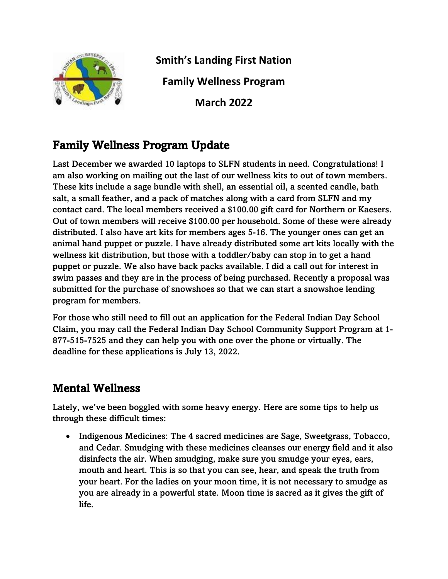

**Smith's Landing First Nation Family Wellness Program**

**March 2022**

## Family Wellness Program Update

Last December we awarded 10 laptops to SLFN students in need. Congratulations! I am also working on mailing out the last of our wellness kits to out of town members. These kits include a sage bundle with shell, an essential oil, a scented candle, bath salt, a small feather, and a pack of matches along with a card from SLFN and my contact card. The local members received a \$100.00 gift card for Northern or Kaesers. Out of town members will receive \$100.00 per household. Some of these were already distributed. I also have art kits for members ages 5-16. The younger ones can get an animal hand puppet or puzzle. I have already distributed some art kits locally with the wellness kit distribution, but those with a toddler/baby can stop in to get a hand puppet or puzzle. We also have back packs available. I did a call out for interest in swim passes and they are in the process of being purchased. Recently a proposal was submitted for the purchase of snowshoes so that we can start a snowshoe lending program for members.

For those who still need to fill out an application for the Federal Indian Day School Claim, you may call the Federal Indian Day School Community Support Program at 1- 877-515-7525 and they can help you with one over the phone or virtually. The deadline for these applications is July 13, 2022.

## Mental Wellness

Lately, we've been boggled with some heavy energy. Here are some tips to help us through these difficult times:

• Indigenous Medicines: The 4 sacred medicines are Sage, Sweetgrass, Tobacco, and Cedar. Smudging with these medicines cleanses our energy field and it also disinfects the air. When smudging, make sure you smudge your eyes, ears, mouth and heart. This is so that you can see, hear, and speak the truth from your heart. For the ladies on your moon time, it is not necessary to smudge as you are already in a powerful state. Moon time is sacred as it gives the gift of life.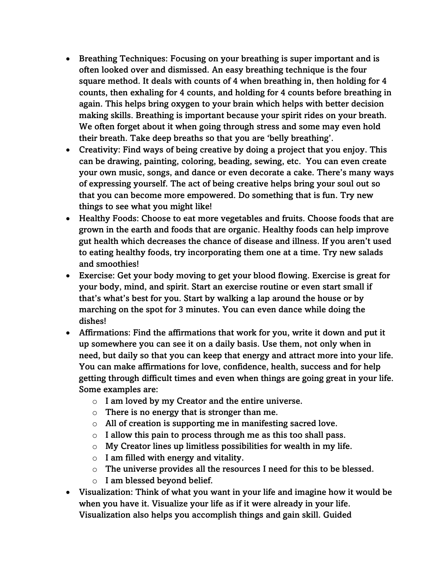- Breathing Techniques: Focusing on your breathing is super important and is often looked over and dismissed. An easy breathing technique is the four square method. It deals with counts of 4 when breathing in, then holding for 4 counts, then exhaling for 4 counts, and holding for 4 counts before breathing in again. This helps bring oxygen to your brain which helps with better decision making skills. Breathing is important because your spirit rides on your breath. We often forget about it when going through stress and some may even hold their breath. Take deep breaths so that you are 'belly breathing'.
- Creativity: Find ways of being creative by doing a project that you enjoy. This can be drawing, painting, coloring, beading, sewing, etc. You can even create your own music, songs, and dance or even decorate a cake. There's many ways of expressing yourself. The act of being creative helps bring your soul out so that you can become more empowered. Do something that is fun. Try new things to see what you might like!
- Healthy Foods: Choose to eat more vegetables and fruits. Choose foods that are grown in the earth and foods that are organic. Healthy foods can help improve gut health which decreases the chance of disease and illness. If you aren't used to eating healthy foods, try incorporating them one at a time. Try new salads and smoothies!
- Exercise: Get your body moving to get your blood flowing. Exercise is great for your body, mind, and spirit. Start an exercise routine or even start small if that's what's best for you. Start by walking a lap around the house or by marching on the spot for 3 minutes. You can even dance while doing the dishes!
- Affirmations: Find the affirmations that work for you, write it down and put it up somewhere you can see it on a daily basis. Use them, not only when in need, but daily so that you can keep that energy and attract more into your life. You can make affirmations for love, confidence, health, success and for help getting through difficult times and even when things are going great in your life. Some examples are:
	- $\circ$  I am loved by my Creator and the entire universe.
	- $\circ$  There is no energy that is stronger than me.
	- $\circ$  All of creation is supporting me in manifesting sacred love.
	- $\circ$  I allow this pain to process through me as this too shall pass.
	- $\circ$  My Creator lines up limitless possibilities for wealth in my life.
	- $\circ$  I am filled with energy and vitality.
	- o The universe provides all the resources I need for this to be blessed.
	- $\circ$  I am blessed beyond belief.
- Visualization: Think of what you want in your life and imagine how it would be when you have it. Visualize your life as if it were already in your life. Visualization also helps you accomplish things and gain skill. Guided